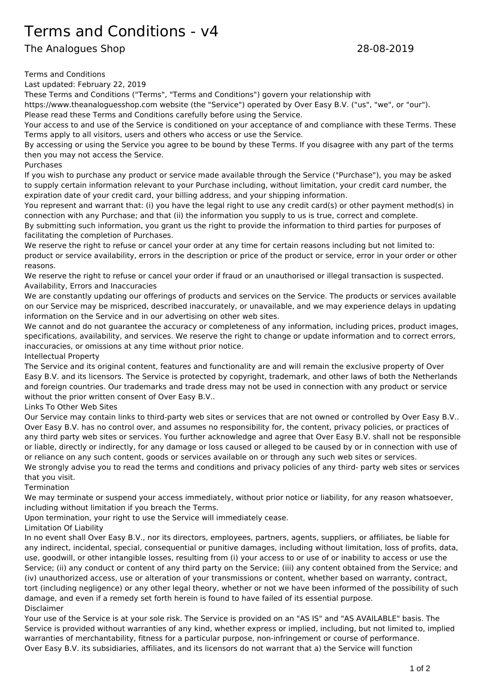## Terms and Conditions - v4

The Analogues Shop 28-08-2019

Terms and Conditions

Last updated: February 22, 2019

These Terms and Conditions ("Terms", "Terms and Conditions") govern your relationship with

https://www.theanaloguesshop.com website (the "Service") operated by Over Easy B.V. ("us", "we", or "our"). Please read these Terms and Conditions carefully before using the Service.

Your access to and use of the Service is conditioned on your acceptance of and compliance with these Terms. These Terms apply to all visitors, users and others who access or use the Service.

By accessing or using the Service you agree to be bound by these Terms. If you disagree with any part of the terms then you may not access the Service.

Purchases

If you wish to purchase any product or service made available through the Service ("Purchase"), you may be asked to supply certain information relevant to your Purchase including, without limitation, your credit card number, the expiration date of your credit card, your billing address, and your shipping information.

You represent and warrant that: (i) you have the legal right to use any credit card(s) or other payment method(s) in connection with any Purchase; and that (ii) the information you supply to us is true, correct and complete.

By submitting such information, you grant us the right to provide the information to third parties for purposes of facilitating the completion of Purchases.

We reserve the right to refuse or cancel your order at any time for certain reasons including but not limited to: product or service availability, errors in the description or price of the product or service, error in your order or other reasons.

We reserve the right to refuse or cancel your order if fraud or an unauthorised or illegal transaction is suspected. Availability, Errors and Inaccuracies

We are constantly updating our offerings of products and services on the Service. The products or services available on our Service may be mispriced, described inaccurately, or unavailable, and we may experience delays in updating information on the Service and in our advertising on other web sites.

We cannot and do not guarantee the accuracy or completeness of any information, including prices, product images, specifications, availability, and services. We reserve the right to change or update information and to correct errors, inaccuracies, or omissions at any time without prior notice.

Intellectual Property

The Service and its original content, features and functionality are and will remain the exclusive property of Over Easy B.V. and its licensors. The Service is protected by copyright, trademark, and other laws of both the Netherlands and foreign countries. Our trademarks and trade dress may not be used in connection with any product or service without the prior written consent of Over Easy B.V..

Links To Other Web Sites

Our Service may contain links to third-party web sites or services that are not owned or controlled by Over Easy B.V.. Over Easy B.V. has no control over, and assumes no responsibility for, the content, privacy policies, or practices of any third party web sites or services. You further acknowledge and agree that Over Easy B.V. shall not be responsible or liable, directly or indirectly, for any damage or loss caused or alleged to be caused by or in connection with use of or reliance on any such content, goods or services available on or through any such web sites or services. We strongly advise you to read the terms and conditions and privacy policies of any third- party web sites or services

that you visit. **Termination** 

We may terminate or suspend your access immediately, without prior notice or liability, for any reason whatsoever, including without limitation if you breach the Terms.

Upon termination, your right to use the Service will immediately cease.

## Limitation Of Liability

In no event shall Over Easy B.V., nor its directors, employees, partners, agents, suppliers, or affiliates, be liable for any indirect, incidental, special, consequential or punitive damages, including without limitation, loss of profits, data, use, goodwill, or other intangible losses, resulting from (i) your access to or use of or inability to access or use the Service; (ii) any conduct or content of any third party on the Service; (iii) any content obtained from the Service; and (iv) unauthorized access, use or alteration of your transmissions or content, whether based on warranty, contract, tort (including negligence) or any other legal theory, whether or not we have been informed of the possibility of such damage, and even if a remedy set forth herein is found to have failed of its essential purpose. Disclaimer

Your use of the Service is at your sole risk. The Service is provided on an "AS IS" and "AS AVAILABLE" basis. The Service is provided without warranties of any kind, whether express or implied, including, but not limited to, implied warranties of merchantability, fitness for a particular purpose, non-infringement or course of performance. Over Easy B.V. its subsidiaries, affiliates, and its licensors do not warrant that a) the Service will function